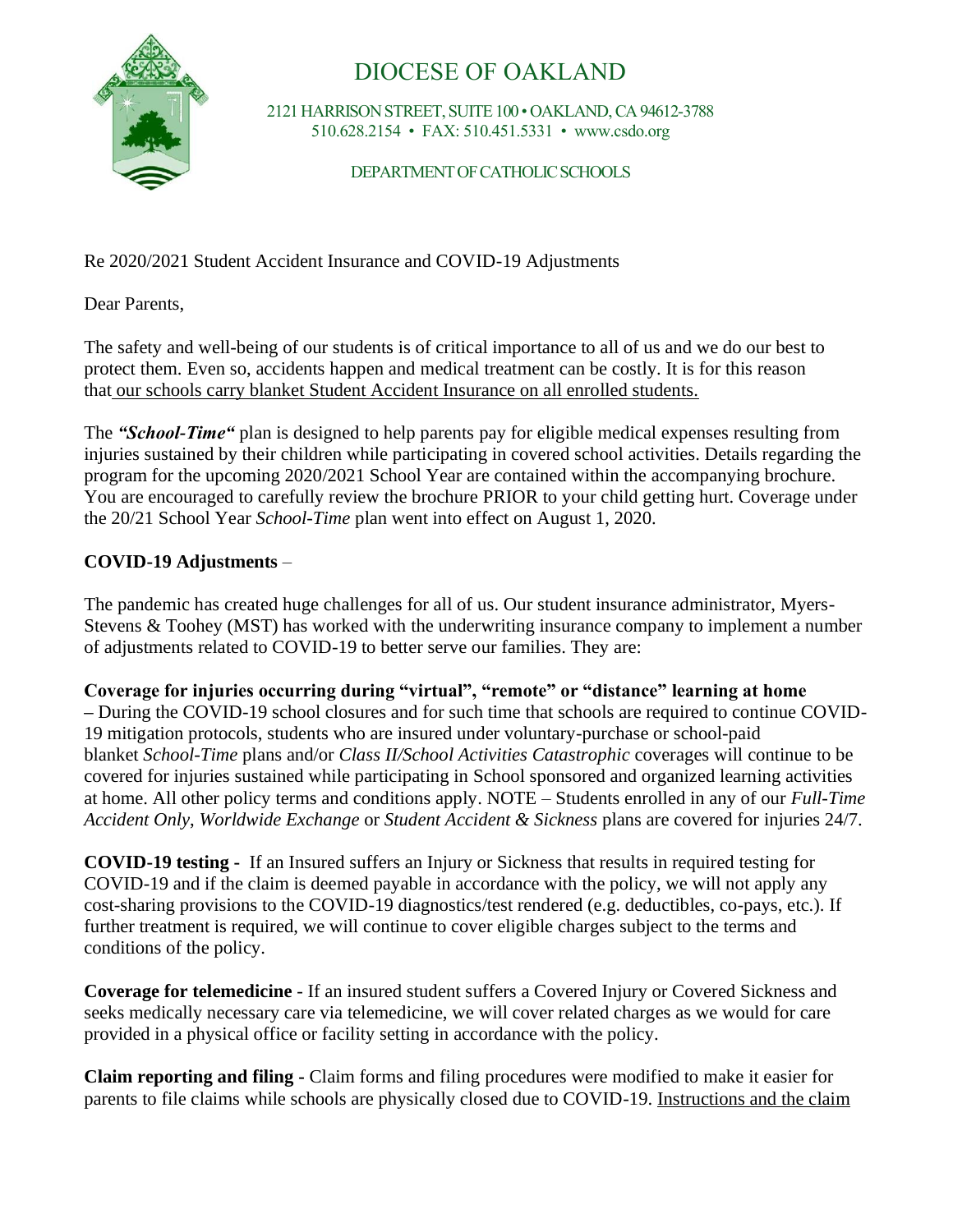

## DIOCESE OF OAKLAND

2121 HARRISON STREET, SUITE 100 • OAKLAND, CA 94612-3788 510.628.2154 • FAX: 510.451.5331 • www.csdo.org

DEPARTMENT OF CATHOLIC SCHOOLS

Re 2020/2021 Student Accident Insurance and COVID-19 Adjustments

Dear Parents,

The safety and well-being of our students is of critical importance to all of us and we do our best to protect them. Even so, accidents happen and medical treatment can be costly. It is for this reason that our schools carry blanket Student Accident Insurance on all enrolled students.

The *"School-Time"* plan is designed to help parents pay for eligible medical expenses resulting from injuries sustained by their children while participating in covered school activities. Details regarding the program for the upcoming 2020/2021 School Year are contained within the accompanying brochure. You are encouraged to carefully review the brochure PRIOR to your child getting hurt. Coverage under the 20/21 School Year *School-Time* plan went into effect on August 1, 2020.

## **COVID-19 Adjustments** –

The pandemic has created huge challenges for all of us. Our student insurance administrator, Myers-Stevens & Toohey (MST) has worked with the underwriting insurance company to implement a number of adjustments related to COVID-19 to better serve our families. They are:

**Coverage for injuries occurring during "virtual", "remote" or "distance" learning at home** 

**–** During the COVID-19 school closures and for such time that schools are required to continue COVID-19 mitigation protocols, students who are insured under voluntary-purchase or school-paid blanket *School-Time* plans and/or *Class II/School Activities Catastrophic* coverages will continue to be covered for injuries sustained while participating in School sponsored and organized learning activities at home. All other policy terms and conditions apply. NOTE – Students enrolled in any of our *Full-Time Accident Only*, *Worldwide Exchange* or *Student Accident & Sickness* plans are covered for injuries 24/7.

**COVID-19 testing -** If an Insured suffers an Injury or Sickness that results in required testing for COVID-19 and if the claim is deemed payable in accordance with the policy, we will not apply any cost-sharing provisions to the COVID-19 diagnostics/test rendered (e.g. deductibles, co-pays, etc.). If further treatment is required, we will continue to cover eligible charges subject to the terms and conditions of the policy.

**Coverage for telemedicine** - If an insured student suffers a Covered Injury or Covered Sickness and seeks medically necessary care via telemedicine, we will cover related charges as we would for care provided in a physical office or facility setting in accordance with the policy.

**Claim reporting and filing -** Claim forms and filing procedures were modified to make it easier for parents to file claims while schools are physically closed due to COVID-19. Instructions and the claim